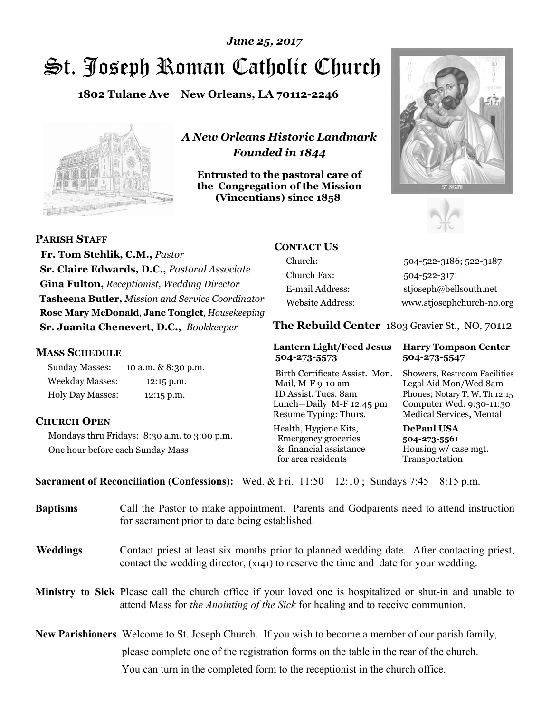# St. Joseph Roman Catholic Church *June 25, 2017*

**1802 Tulane Ave New Orleans, LA 70112-2246**



*A New Orleans Historic Landmark Founded in 1844* 

**Entrusted to the pastoral care of the Congregation of the Mission (Vincentians) since 1858**.





 **Fr. Tom Stehlik, C.M.,** *Pastor* **Sr. Claire Edwards, D.C.,** *Pastoral Associate* **Gina Fulton,** *Receptionist, Wedding Director* **Tasheena Butler,** *Mission and Service Coordinator* **Rose Mary McDonald**, **Jane Tonglet**, *Housekeeping* 

**Sr. Juanita Chenevert, D.C.,** *Bookkeeper* 

### **MASS SCHEDULE**

**PARISH STAFF**

Sunday Masses: 10 a.m. & 8:30 p.m. Weekday Masses: 12:15 p.m. Holy Day Masses: 12:15 p.m.

### **CHURCH OPEN**

Mondays thru Fridays: 8:30 a.m. to 3:00 p.m. One hour before each Sunday Mass

## **CONTACT US**

Church: 504-522-3186; 522-3187 Church Fax: 504-522-3171 E-mail Address: stjoseph@bellsouth.net Website Address: www.stjosephchurch-no.org

**The Rebuild Center** 1803 Gravier St., NO, 70112

#### **Lantern Light/Feed Jesus Harry Tompson Center 504-273-5573 504-273-5547**

Birth Certificate Assist. Mon. Showers, Restroom Facilities Mail, M-F 9-10 am Legal Aid Mon/Wed 8am ID Assist. Tues. 8am Phones; Notary T, W, Th 12:15 Lunch—Daily M-F 12:45 pm Computer Wed. 9:30-11:30 Resume Typing: Thurs. Medical Services, Mental

Health, Hygiene Kits, **DePaul USA**  Emergency groceries **504-273-5561** & financial assistance Housing w/ case mgt.<br>for area residents Transportation for area residents

**Sacrament of Reconciliation (Confessions):** Wed. & Fri. 11:50—12:10 ; Sundays 7:45—8:15 p.m.

| <b>Baptisms</b> | Call the Pastor to make appointment. Parents and Godparents need to attend instruction<br>for sacrament prior to date being established.                                                            |
|-----------------|-----------------------------------------------------------------------------------------------------------------------------------------------------------------------------------------------------|
| <b>Weddings</b> | Contact priest at least six months prior to planned wedding date. After contacting priest,<br>contact the wedding director, (x141) to reserve the time and date for your wedding.                   |
|                 | <b>Ministry to Sick</b> Please call the church office if your loved one is hospitalized or shut-in and unable to<br>attend Mass for the Anointing of the Sick for healing and to receive communion. |
|                 | <b>New Parishioners</b> Welcome to St. Joseph Church. If you wish to become a member of our parish family,                                                                                          |
|                 | please complete one of the registration forms on the table in the rear of the church.                                                                                                               |
|                 | You can turn in the completed form to the receptionist in the church office.                                                                                                                        |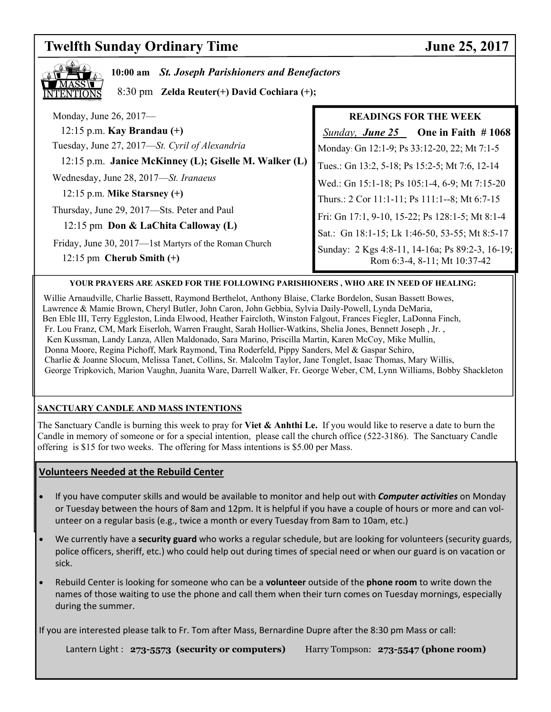#### **Twelfth Sunday Ordinary Time June 25, 2017**  Monday, June 26, 2017— 12:15 p.m. **Kay Brandau (+)**Tuesday, June 27, 2017—*St. Cyril of Alexandria*  12:15 p.m. **Janice McKinney (L); Giselle M. Walker (L)** Wednesday, June 28, 2017—*St. Iranaeus*  12:15 p.m. **Mike Starsney (+)** Thursday, June 29, 2017—Sts. Peter and Paul 12:15 pm **Don & LaChita Calloway (L)**  Friday, June 30, 2017—1st Martyrs of the Roman Church 12:15 pm **Cherub Smith (+) 10:00 am** *St. Joseph Parishioners and Benefactors*  8:30 pm **Zelda Reuter(+) David Cochiara (+); READINGS FOR THE WEEK**   *Sunday, June 25* **One in Faith # 1068** Monday: Gn 12:1-9; Ps 33:12-20, 22; Mt 7:1-5 Tues.: Gn 13:2, 5-18; Ps 15:2-5; Mt 7:6, 12-14 Wed.: Gn 15:1-18; Ps 105:1-4, 6-9; Mt 7:15-20 Thurs.: 2 Cor 11:1-11; Ps 111:1--8; Mt 6:7-15 Fri: Gn 17:1, 9-10, 15-22; Ps 128:1-5; Mt 8:1-4 Sat.: Gn 18:1-15; Lk 1:46-50, 53-55; Mt 8:5-17 Sunday: 2 Kgs 4:8-11, 14-16a; Ps 89:2-3, 16-19; Rom 6:3-4, 8-11; Mt 10:37-42

#### **YOUR PRAYERS ARE ASKED FOR THE FOLLOWING PARISHIONERS , WHO ARE IN NEED OF HEALING:**

 Willie Arnaudville, Charlie Bassett, Raymond Berthelot, Anthony Blaise, Clarke Bordelon, Susan Bassett Bowes, Lawrence & Mamie Brown, Cheryl Butler, John Caron, John Gebbia, Sylvia Daily-Powell, Lynda DeMaria, Ben Eble III, Terry Eggleston, Linda Elwood, Heather Faircloth, Winston Falgout, Frances Fiegler, LaDonna Finch, Fr. Lou Franz, CM, Mark Eiserloh, Warren Fraught, Sarah Hollier-Watkins, Shelia Jones, Bennett Joseph , Jr. , Ken Kussman, Landy Lanza, Allen Maldonado, Sara Marino, Priscilla Martin, Karen McCoy, Mike Mullin, Donna Moore, Regina Pichoff, Mark Raymond, Tina Roderfeld, Pippy Sanders, Mel & Gaspar Schiro, Charlie & Joanne Slocum, Melissa Tanet, Collins, Sr. Malcolm Taylor, Jane Tonglet, Isaac Thomas, Mary Willis, George Tripkovich, Marion Vaughn, Juanita Ware, Darrell Walker, Fr. George Weber, CM, Lynn Williams, Bobby Shackleton

#### **SANCTUARY CANDLE AND MASS INTENTIONS**

The Sanctuary Candle is burning this week to pray for **Viet & Anhthi Le.** If you would like to reserve a date to burn the Candle in memory of someone or for a special intention, please call the church office (522-3186). The Sanctuary Candle offering is \$15 for two weeks. The offering for Mass intentions is \$5.00 per Mass.

#### **Volunteers Needed at the Rebuild Center**

- If you have computer skills and would be available to monitor and help out with *Computer activities* on Monday or Tuesday between the hours of 8am and 12pm. It is helpful if you have a couple of hours or more and can volunteer on a regular basis (e.g., twice a month or every Tuesday from 8am to 10am, etc.)
- We currently have a **security guard** who works a regular schedule, but are looking for volunteers (security guards, police officers, sheriff, etc.) who could help out during times of special need or when our guard is on vacation or sick.
- Rebuild Center is looking for someone who can be a **volunteer** outside of the **phone room** to write down the names of those waiting to use the phone and call them when their turn comes on Tuesday mornings, especially during the summer.

If you are interested please talk to Fr. Tom after Mass, Bernardine Dupre after the 8:30 pm Mass or call:

Lantern Light : **273-5573** (security or computers) Harry Tompson: **273-5547 (phone room)**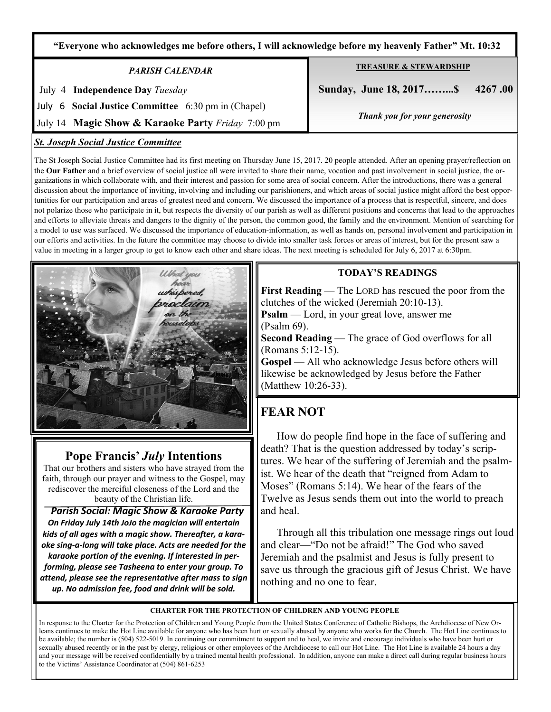**"Everyone who acknowledges me before others, I will acknowledge before my heavenly Father" Mt. 10:32**

#### *PARISH CALENDAR*

July 4 **Independence Day** *Tuesday* 

July 6 **Social Justice Committee** 6:30 pm in (Chapel)

July 14 **Magic Show & Karaoke Party** *Friday* 7:00 pm

#### *St. Joseph Social Justice Committee*

The St Joseph Social Justice Committee had its first meeting on Thursday June 15, 2017. 20 people attended. After an opening prayer/reflection on the **Our Father** and a brief overview of social justice all were invited to share their name, vocation and past involvement in social justice, the organizations in which collaborate with, and their interest and passion for some area of social concern. After the introductions, there was a general discussion about the importance of inviting, involving and including our parishioners, and which areas of social justice might afford the best opportunities for our participation and areas of greatest need and concern. We discussed the importance of a process that is respectful, sincere, and does not polarize those who participate in it, but respects the diversity of our parish as well as different positions and concerns that lead to the approaches and efforts to alleviate threats and dangers to the dignity of the person, the common good, the family and the environment. Mention of searching for a model to use was surfaced. We discussed the importance of education-information, as well as hands on, personal involvement and participation in our efforts and activities. In the future the committee may choose to divide into smaller task forces or areas of interest, but for the present saw a value in meeting in a larger group to get to know each other and share ideas. The next meeting is scheduled for July 6, 2017 at 6:30pm.

### **TODAY'S READINGS**

**First Reading** — The LORD has rescued the poor from the clutches of the wicked (Jeremiah 20:10-13). **Psalm** — Lord, in your great love, answer me (Psalm 69).

**Second Reading** — The grace of God overflows for all (Romans 5:12-15).

**Gospel** — All who acknowledge Jesus before others will likewise be acknowledged by Jesus before the Father (Matthew 10:26-33).

# **FEAR NOT**

 How do people find hope in the face of suffering and death? That is the question addressed by today's scriptures. We hear of the suffering of Jeremiah and the psalmist. We hear of the death that "reigned from Adam to Moses" (Romans 5:14). We hear of the fears of the Twelve as Jesus sends them out into the world to preach and heal.

 Through all this tribulation one message rings out loud and clear—"Do not be afraid!" The God who saved Jeremiah and the psalmist and Jesus is fully present to save us through the gracious gift of Jesus Christ. We have nothing and no one to fear.

#### **CHARTER FOR THE PROTECTION OF CHILDREN AND YOUNG PEOPLE**

In response to the Charter for the Protection of Children and Young People from the United States Conference of Catholic Bishops, the Archdiocese of New Orleans continues to make the Hot Line available for anyone who has been hurt or sexually abused by anyone who works for the Church. The Hot Line continues to be available; the number is (504) 522-5019. In continuing our commitment to support and to heal, we invite and encourage individuals who have been hurt or sexually abused recently or in the past by clergy, religious or other employees of the Archdiocese to call our Hot Line. The Hot Line is available 24 hours a day and your message will be received confidentially by a trained mental health professional. In addition, anyone can make a direct call during regular business hours to the Victims' Assistance Coordinator at (504) 861-6253

# **Pope Francis'** *July* **Intentions**

That our brothers and sisters who have strayed from the faith, through our prayer and witness to the Gospel, may rediscover the merciful closeness of the Lord and the beauty of the Christian life.

 *Parish Social: Magic Show & Karaoke Party On Friday July 14th JoJo the magician will entertain kids of all ages with a magic show. Thereafter, a karaoke sing-a-long will take place. Acts are needed for the karaoke portion of the evening. If interested in performing, please see Tasheena to enter your group. To attend, please see the representative after mass to sign up. No admission fee, food and drink will be sold.* 



# **TREASURE & STEWARDSHIP**

 **Sunday, June 18, 2017……...\$ 4267 .00** 

*Thank you for your generosity*